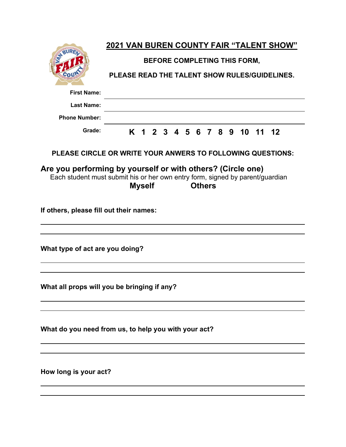|                                                                                                                                              |                                               |   |               |  |         |  |  |               |  |  |      |    | <b>2021 VAN BUREN COUNTY FAIR "TALENT SHOW"</b> |  |
|----------------------------------------------------------------------------------------------------------------------------------------------|-----------------------------------------------|---|---------------|--|---------|--|--|---------------|--|--|------|----|-------------------------------------------------|--|
|                                                                                                                                              | BEFORE COMPLETING THIS FORM,                  |   |               |  |         |  |  |               |  |  |      |    |                                                 |  |
|                                                                                                                                              | PLEASE READ THE TALENT SHOW RULES/GUIDELINES. |   |               |  |         |  |  |               |  |  |      |    |                                                 |  |
| <b>First Name:</b>                                                                                                                           |                                               |   |               |  |         |  |  |               |  |  |      |    |                                                 |  |
| <b>Last Name:</b>                                                                                                                            |                                               |   |               |  |         |  |  |               |  |  |      |    |                                                 |  |
| <b>Phone Number:</b>                                                                                                                         |                                               |   |               |  |         |  |  |               |  |  |      |    |                                                 |  |
| Grade:                                                                                                                                       |                                               | K | $\mathbf 1$   |  | 2 3 4 5 |  |  |               |  |  | 6789 | 10 | $11 \t12$                                       |  |
| PLEASE CIRCLE OR WRITE YOUR ANWERS TO FOLLOWING QUESTIONS:                                                                                   |                                               |   |               |  |         |  |  |               |  |  |      |    |                                                 |  |
| Are you performing by yourself or with others? (Circle one)<br>Each student must submit his or her own entry form, signed by parent/guardian |                                               |   | <b>Myself</b> |  |         |  |  | <b>Others</b> |  |  |      |    |                                                 |  |
| If others, please fill out their names:                                                                                                      |                                               |   |               |  |         |  |  |               |  |  |      |    |                                                 |  |
| What type of act are you doing?                                                                                                              |                                               |   |               |  |         |  |  |               |  |  |      |    |                                                 |  |
| What all props will you be bringing if any?                                                                                                  |                                               |   |               |  |         |  |  |               |  |  |      |    |                                                 |  |
| What do you need from us, to help you with your act?                                                                                         |                                               |   |               |  |         |  |  |               |  |  |      |    |                                                 |  |
| How long is your act?                                                                                                                        |                                               |   |               |  |         |  |  |               |  |  |      |    |                                                 |  |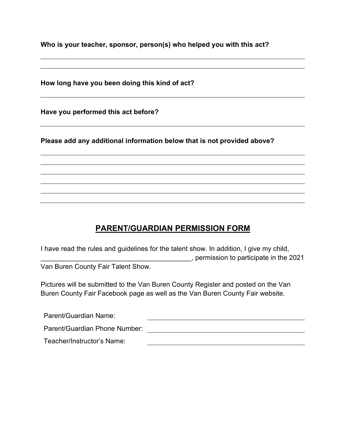**Who is your teacher, sponsor, person(s) who helped you with this act?**

**How long have you been doing this kind of act?**

**Have you performed this act before?**

**Please add any additional information below that is not provided above?**

## **PARENT/GUARDIAN PERMISSION FORM**

I have read the rules and guidelines for the talent show. In addition, I give my child, \_\_\_\_\_\_\_\_\_\_\_\_\_\_\_\_\_\_\_\_\_\_\_\_\_\_\_\_\_\_\_\_\_\_\_\_\_\_\_\_, permission to participate in the 2021

Van Buren County Fair Talent Show.

Pictures will be submitted to the Van Buren County Register and posted on the Van Buren County Fair Facebook page as well as the Van Buren County Fair website.

| Parent/Guardian Name:         |  |
|-------------------------------|--|
| Parent/Guardian Phone Number: |  |
| Teacher/Instructor's Name:    |  |